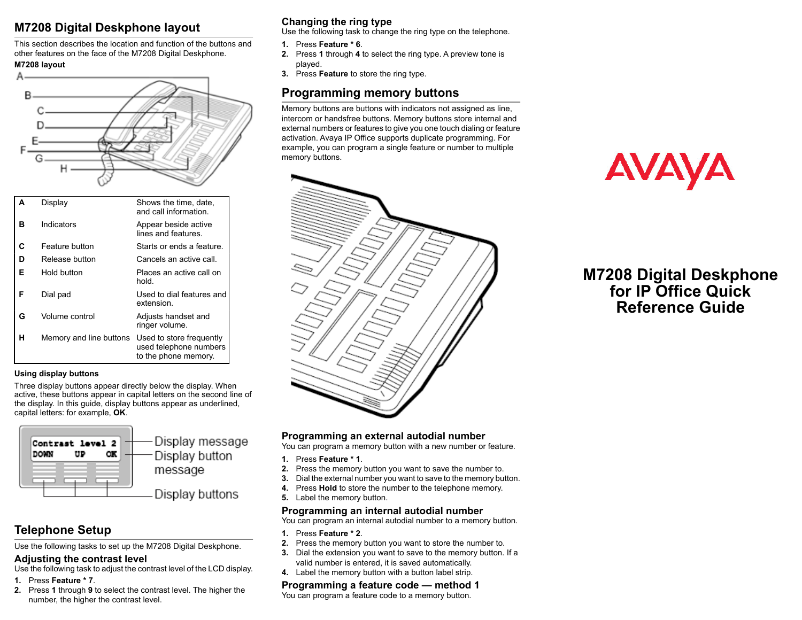# **M7208 Digital Deskphone layout**

This section describes the location and function of the buttons and other features on the face of the M7208 Digital Deskphone. **M7208 layout**



|   | Display                 | Shows the time, date,<br>and call information.                             |
|---|-------------------------|----------------------------------------------------------------------------|
| в | Indicators              | Appear beside active<br>lines and features                                 |
| C | Feature button          | Starts or ends a feature.                                                  |
| D | Release button          | Cancels an active call.                                                    |
| Е | Hold button             | Places an active call on<br>hold                                           |
| F | Dial pad                | Used to dial features and<br>extension.                                    |
| G | Volume control          | Adjusts handset and<br>ringer volume.                                      |
| н | Memory and line buttons | Used to store frequently<br>used telephone numbers<br>to the phone memory. |

#### **Using display buttons**

Three display buttons appear directly below the display. When active, these buttons appear in capital letters on the second line of the display. In this guide, display buttons appear as underlined, capital letters: for example, **OK**.



# **Telephone Setup**

Use the following tasks to set up the M7208 Digital Deskphone.

#### **Adjusting the contrast level**

Use the following task to adjust the contrast level of the LCD display.

- **1.** Press **Feature \* 7**.
- **2.** Press **1** through **9** to select the contrast level. The higher the number, the higher the contrast level.

## **Changing the ring type**

Use the following task to change the ring type on the telephone.

- **1.** Press **Feature \* 6**.
- **2.** Press **1** through **4** to select the ring type. A preview tone is played.
- **3.** Press **Feature** to store the ring type.

# **Programming memory buttons**

Memory buttons are buttons with indicators not assigned as line, intercom or handsfree buttons. Memory buttons store internal and external numbers or features to give you one touch dialing or feature activation. Avaya IP Office supports duplicate programming. For example, you can program a single feature or number to multiple memory buttons.



# **AVAYA**

# **M7208 Digital Deskphone for IP Office Quick Reference Guide**

## **Programming an external autodial number**

You can program a memory button with a new number or feature.

- **1.** Press **Feature \* 1**.
- **2.** Press the memory button you want to save the number to.
- **3.** Dial the external number you want to save to the memory button.
- **4.** Press **Hold** to store the number to the telephone memory.
- **5.** Label the memory button.

#### **Programming an internal autodial number**

You can program an internal autodial number to a memory button.

- **1.** Press **Feature \* 2**.
- **2.** Press the memory button you want to store the number to.
- **3.** Dial the extension you want to save to the memory button. If a valid number is entered, it is saved automatically.
- **4.** Label the memory button with a button label strip.

## **Programming a feature code — method 1**

You can program a feature code to a memory button.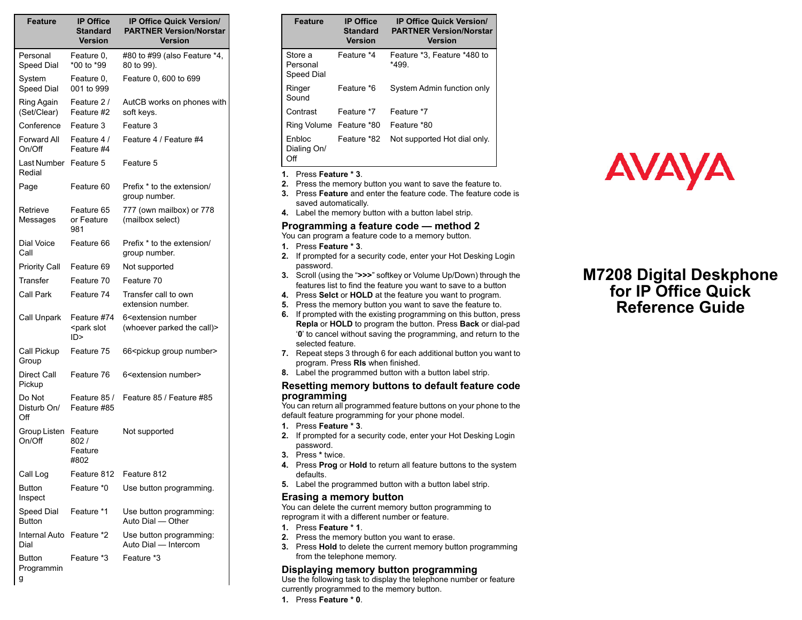| <b>Feature</b>                   | <b>IP Office</b><br>Standard<br><b>Version</b> | <b>IP Office Quick Version/</b><br><b>PARTNER Version/Norstar</b><br>Version |
|----------------------------------|------------------------------------------------|------------------------------------------------------------------------------|
| Personal<br>Speed Dial           | Feature 0,<br>*00 to *99                       | #80 to #99 (also Feature *4,<br>80 to 99).                                   |
| System<br><b>Speed Dial</b>      | Feature 0,<br>001 to 999                       | Feature 0, 600 to 699                                                        |
| Ring Again<br>(Set/Clear)        | Feature 2/<br>Feature #2                       | AutCB works on phones with<br>soft keys.                                     |
| Conference                       | Feature 3                                      | Feature 3                                                                    |
| Forward All<br>On/Off            | Feature 4 /<br>Feature #4                      | Feature 4 / Feature #4                                                       |
| Last Number<br>Redial            | Feature 5                                      | Feature 5                                                                    |
| Page                             | Feature 60                                     | Prefix * to the extension/<br>group number.                                  |
| Retrieve<br>Messages             | Feature 65<br>or Feature<br>981                | 777 (own mailbox) or 778<br>(mailbox select)                                 |
| Dial Voice<br>Call               | Feature 66                                     | Prefix * to the extension/<br>group number.                                  |
| <b>Priority Call</b>             | Feature 69                                     | Not supported                                                                |
| Transfer                         | Feature 70                                     | Feature 70                                                                   |
| Call Park                        | Feature 74                                     | Transfer call to own<br>extension number.                                    |
| Call Unpark                      | Feature #74<br><park slot<br="">ID &gt;</park> | 6 <extension number<br="">(whoever parked the call)&gt;</extension>          |
| Call Pickup<br>Group             | Feature 75                                     | 66 <pickup group="" number=""></pickup>                                      |
| Direct Call<br>Pickup            | Feature 76                                     | 6 <extension number=""></extension>                                          |
| Do Not<br>Disturb On/<br>Off     | Feature 85 /<br>Feature #85                    | Feature 85 / Feature #85                                                     |
| Group Listen<br>On/Off           | Feature<br>802/<br>Feature<br>#802             | Not supported                                                                |
| Call Log                         | Feature 812                                    | Feature 812                                                                  |
| Button<br>Inspect                | Feature *0                                     | Use button programming.                                                      |
| Speed Dial<br><b>Button</b>      | Feature *1                                     | Use button programming:<br>Auto Dial - Other                                 |
| Internal Auto Feature *2<br>Dial |                                                | Use button programming:<br>Auto Dial - Intercom                              |
| <b>Button</b><br>Programmin<br>g | Feature *3                                     | Feature *3                                                                   |

| <b>Feature</b>                    | <b>IP Office</b><br><b>Standard</b><br><b>Version</b> | <b>IP Office Quick Version/</b><br><b>PARTNER Version/Norstar</b><br>Version |
|-----------------------------------|-------------------------------------------------------|------------------------------------------------------------------------------|
| Store a<br>Personal<br>Speed Dial | Feature *4                                            | Feature *3, Feature *480 to<br>*499.                                         |
| Ringer<br>Sound                   | Feature *6                                            | System Admin function only                                                   |
| Contrast                          | Feature *7                                            | Feature *7                                                                   |
| Ring Volume Feature *80           |                                                       | Feature *80                                                                  |
| Enbloc<br>Dialing On/<br>Off      | Feature *82                                           | Not supported Hot dial only.                                                 |

#### **1.** Press **Feature \* 3**.

- **2.** Press the memory button you want to save the feature to.
- **3.** Press **Feature** and enter the feature code. The feature code is saved automatically.
- **4.** Label the memory button with a button label strip.

#### **Programming a feature code — method 2**

You can program a feature code to a memory button.

- **1.** Press **Feature \* 3**.
- **2.** If prompted for a security code, enter your Hot Desking Login password.
- **3.** Scroll (using the "**>>>**" softkey or Volume Up/Down) through the features list to find the feature you want to save to a button
- **4.** Press **Selct** or **HOLD** at the feature you want to program.
- **5.** Press the memory button you want to save the feature to.
- **6.** If prompted with the existing programming on this button, press **Repla** or **HOLD** to program the button. Press **Back** or dial-pad '**0**' to cancel without saving the programming, and return to the selected feature.
- **7.** Repeat steps 3 through 6 for each additional button you want to program. Press **Rls** when finished.
- **8.** Label the programmed button with a button label strip.

#### **Resetting memory buttons to default feature code programming**

You can return all programmed feature buttons on your phone to the default feature programming for your phone model.

- **1.** Press **Feature \* 3**.
- **2.** If prompted for a security code, enter your Hot Desking Login password.
- **3.** Press **\*** twice.
- **4.** Press **Prog** or **Hold** to return all feature buttons to the system defaults.
- **5.** Label the programmed button with a button label strip.

#### **Erasing a memory button**

You can delete the current memory button programming to reprogram it with a different number or feature.

- **1.** Press **Feature \* 1**.
- **2.** Press the memory button you want to erase.
- **3.** Press **Hold** to delete the current memory button programming from the telephone memory.

#### **Displaying memory button programming**

Use the following task to display the telephone number or feature currently programmed to the memory button.

**1.** Press **Feature \* 0**.



# **M7208 Digital Deskphone for IP Office Quick Reference Guide**